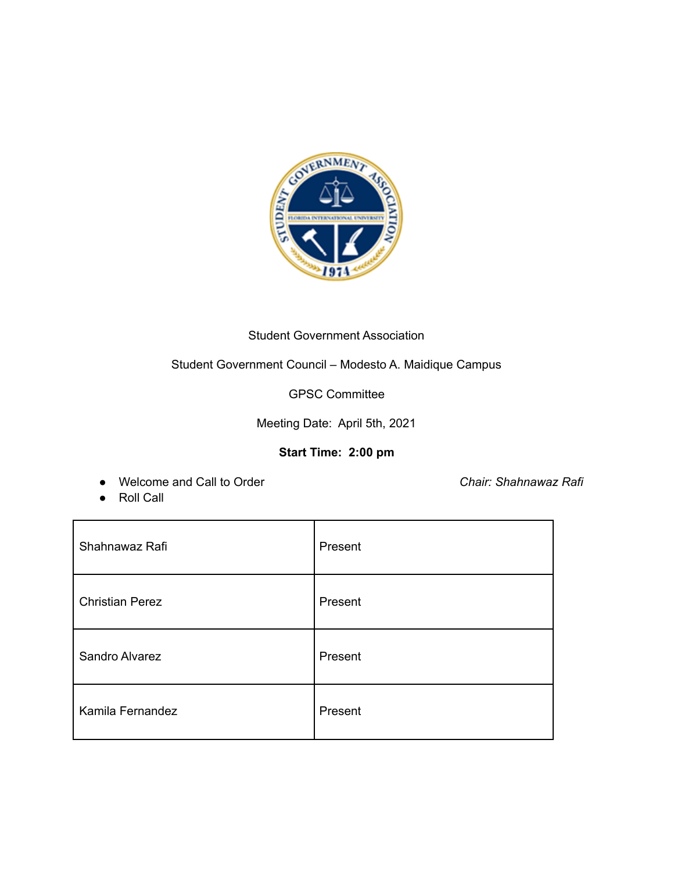

# Student Government Association

# Student Government Council – Modesto A. Maidique Campus

GPSC Committee

Meeting Date: April 5th, 2021

### **Start Time: 2:00 pm**

● Welcome and Call to Order *Chair: Shahnawaz Rafi*

● Roll Call

| Shahnawaz Rafi         | Present |
|------------------------|---------|
| <b>Christian Perez</b> | Present |
| Sandro Alvarez         | Present |
| Kamila Fernandez       | Present |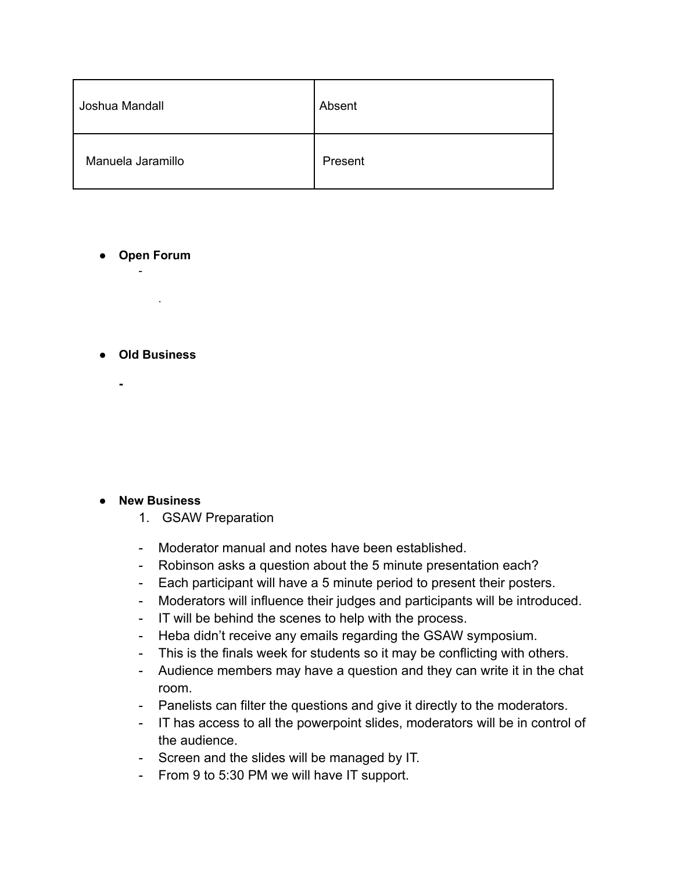| Joshua Mandall    | Absent  |
|-------------------|---------|
| Manuela Jaramillo | Present |

**● Open Forum** -

**● Old Business**

**-**

.

### **● New Business**

- 1. GSAW Preparation
- Moderator manual and notes have been established.
- Robinson asks a question about the 5 minute presentation each?
- Each participant will have a 5 minute period to present their posters.
- Moderators will influence their judges and participants will be introduced.
- IT will be behind the scenes to help with the process.
- Heba didn't receive any emails regarding the GSAW symposium.
- This is the finals week for students so it may be conflicting with others.
- Audience members may have a question and they can write it in the chat room.
- Panelists can filter the questions and give it directly to the moderators.
- IT has access to all the powerpoint slides, moderators will be in control of the audience.
- Screen and the slides will be managed by IT.
- From 9 to 5:30 PM we will have IT support.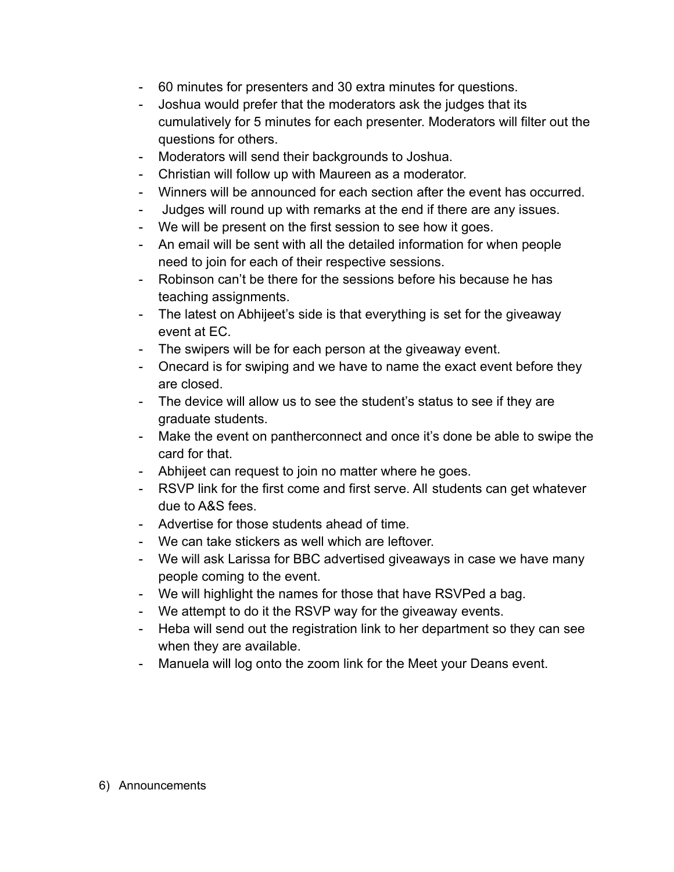- 60 minutes for presenters and 30 extra minutes for questions.
- Joshua would prefer that the moderators ask the judges that its cumulatively for 5 minutes for each presenter. Moderators will filter out the questions for others.
- Moderators will send their backgrounds to Joshua.
- Christian will follow up with Maureen as a moderator.
- Winners will be announced for each section after the event has occurred.
- Judges will round up with remarks at the end if there are any issues.
- We will be present on the first session to see how it goes.
- An email will be sent with all the detailed information for when people need to join for each of their respective sessions.
- Robinson can't be there for the sessions before his because he has teaching assignments.
- The latest on Abhijeet's side is that everything is set for the giveaway event at EC.
- The swipers will be for each person at the giveaway event.
- Onecard is for swiping and we have to name the exact event before they are closed.
- The device will allow us to see the student's status to see if they are graduate students.
- Make the event on pantherconnect and once it's done be able to swipe the card for that.
- Abhijeet can request to join no matter where he goes.
- RSVP link for the first come and first serve. All students can get whatever due to A&S fees.
- Advertise for those students ahead of time.
- We can take stickers as well which are leftover.
- We will ask Larissa for BBC advertised giveaways in case we have many people coming to the event.
- We will highlight the names for those that have RSVPed a bag.
- We attempt to do it the RSVP way for the giveaway events.
- Heba will send out the registration link to her department so they can see when they are available.
- Manuela will log onto the zoom link for the Meet your Deans event.

### 6) Announcements